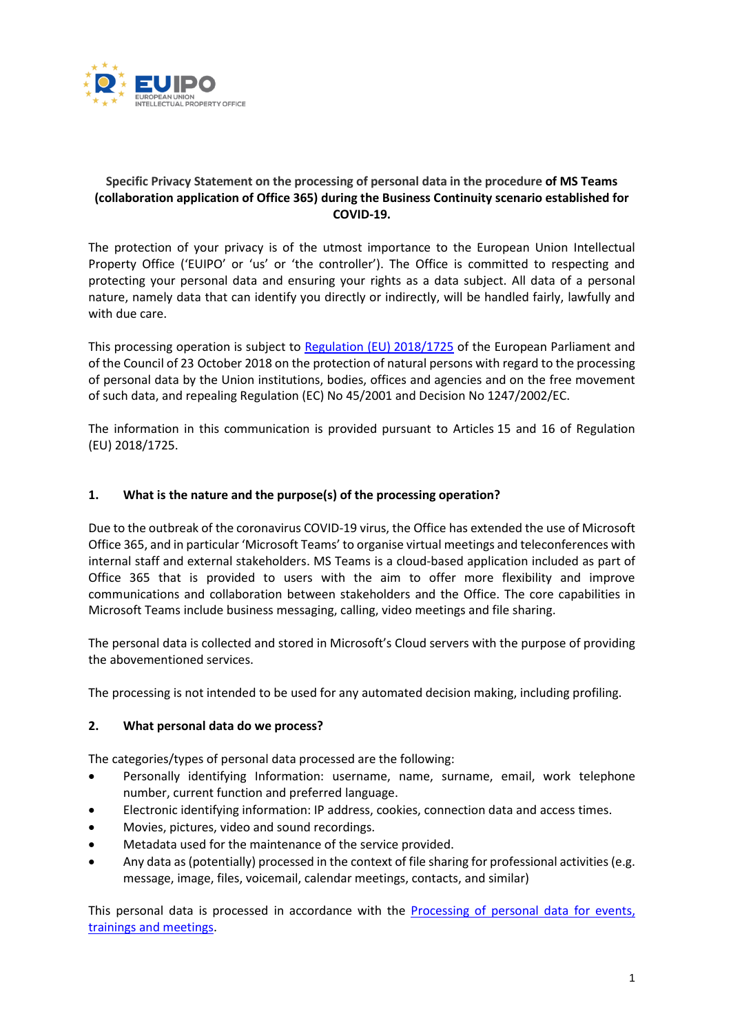

# **Specific Privacy Statement on the processing of personal data in the procedure of MS Teams (collaboration application of Office 365) during the Business Continuity scenario established for COVID-19.**

The protection of your privacy is of the utmost importance to the European Union Intellectual Property Office ('EUIPO' or 'us' or 'the controller'). The Office is committed to respecting and protecting your personal data and ensuring your rights as a data subject. All data of a personal nature, namely data that can identify you directly or indirectly, will be handled fairly, lawfully and with due care.

This processing operation is subject to [Regulation \(EU\)](https://eur-lex.europa.eu/legal-content/en/TXT/?uri=CELEX:32018R1725) 2018/1725 of the European Parliament and of the Council of 23 October 2018 on the protection of natural persons with regard to the processing of personal data by the Union institutions, bodies, offices and agencies and on the free movement of such data, and repealing Regulation (EC) No 45/2001 and Decision No 1247/2002/EC.

The information in this communication is provided pursuant to Articles 15 and 16 of Regulation (EU) 2018/1725.

# **1. What is the nature and the purpose(s) of the processing operation?**

Due to the outbreak of the coronavirus COVID-19 virus, the Office has extended the use of Microsoft Office 365, and in particular 'Microsoft Teams' to organise virtual meetings and teleconferences with internal staff and external stakeholders. MS Teams is a cloud-based application included as part of Office 365 that is provided to users with the aim to offer more flexibility and improve communications and collaboration between stakeholders and the Office. The core capabilities in Microsoft Teams include business messaging, calling, video meetings and file sharing.

The personal data is collected and stored in Microsoft's Cloud servers with the purpose of providing the abovementioned services.

The processing is not intended to be used for any automated decision making, including profiling.

#### **2. What personal data do we process?**

The categories/types of personal data processed are the following:

- Personally identifying Information: username, name, surname, email, work telephone number, current function and preferred language.
- Electronic identifying information: IP address, cookies, connection data and access times.
- Movies, pictures, video and sound recordings.
- Metadata used for the maintenance of the service provided.
- Any data as (potentially) processed in the context of file sharing for professional activities (e.g. message, image, files, voicemail, calendar meetings, contacts, and similar)

This personal data is processed in accordance with the [Processing of personal data for events,](https://euipo.europa.eu/tunnel-web/secure/webdav/guest/document_library/contentPdfs/data_protection/Organisation_events_training_and_meetings_en.pdf)  [trainings and meetings.](https://euipo.europa.eu/tunnel-web/secure/webdav/guest/document_library/contentPdfs/data_protection/Organisation_events_training_and_meetings_en.pdf)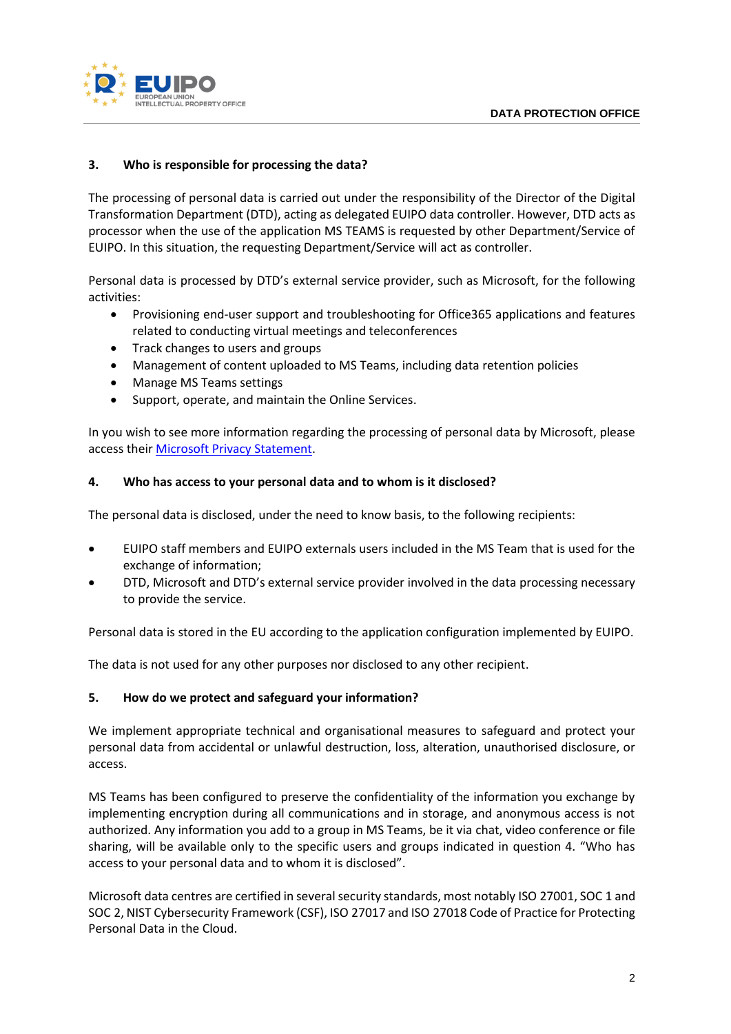



# **3. Who is responsible for processing the data?**

The processing of personal data is carried out under the responsibility of the Director of the Digital Transformation Department (DTD), acting as delegated EUIPO data controller. However, DTD acts as processor when the use of the application MS TEAMS is requested by other Department/Service of EUIPO. In this situation, the requesting Department/Service will act as controller.

Personal data is processed by DTD's external service provider, such as Microsoft, for the following activities:

- Provisioning end-user support and troubleshooting for Office365 applications and features related to conducting virtual meetings and teleconferences
- Track changes to users and groups
- Management of content uploaded to MS Teams, including data retention policies
- Manage MS Teams settings
- Support, operate, and maintain the Online Services.

In you wish to see more information regarding the processing of personal data by Microsoft, please access their [Microsoft Privacy Statement.](https://privacy.microsoft.com/en-us/privacystatement)

## **4. Who has access to your personal data and to whom is it disclosed?**

The personal data is disclosed, under the need to know basis, to the following recipients:

- EUIPO staff members and EUIPO externals users included in the MS Team that is used for the exchange of information;
- DTD, Microsoft and DTD's external service provider involved in the data processing necessary to provide the service.

Personal data is stored in the EU according to the application configuration implemented by EUIPO.

The data is not used for any other purposes nor disclosed to any other recipient.

# **5. How do we protect and safeguard your information?**

We implement appropriate technical and organisational measures to safeguard and protect your personal data from accidental or unlawful destruction, loss, alteration, unauthorised disclosure, or access.

MS Teams has been configured to preserve the confidentiality of the information you exchange by implementing encryption during all communications and in storage, and anonymous access is not authorized. Any information you add to a group in MS Teams, be it via chat, video conference or file sharing, will be available only to the specific users and groups indicated in question 4. "Who has access to your personal data and to whom it is disclosed".

Microsoft data centres are certified in several security standards, most notably ISO 27001, SOC 1 and SOC 2, NIST Cybersecurity Framework (CSF), ISO 27017 and ISO 27018 Code of Practice for Protecting Personal Data in the Cloud.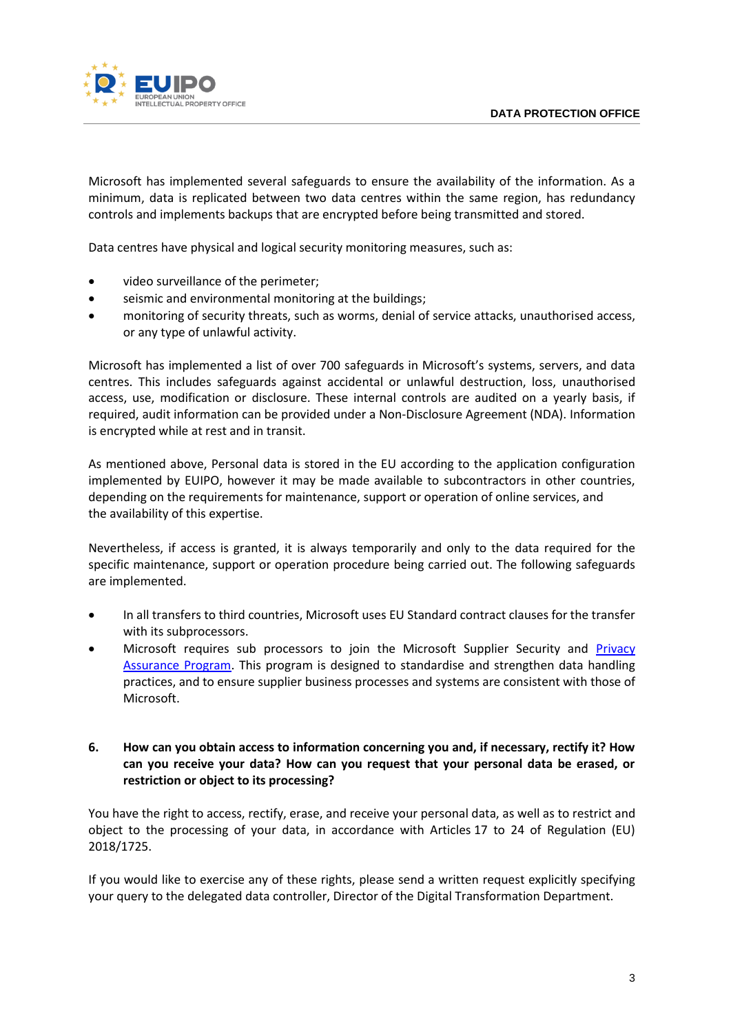

Microsoft has implemented several safeguards to ensure the availability of the information. As a minimum, data is replicated between two data centres within the same region, has redundancy controls and implements backups that are encrypted before being transmitted and stored.

Data centres have physical and logical security monitoring measures, such as:

- video surveillance of the perimeter;
- seismic and environmental monitoring at the buildings;
- monitoring of security threats, such as worms, denial of service attacks, unauthorised access, or any type of unlawful activity.

Microsoft has implemented a list of over 700 safeguards in Microsoft's systems, servers, and data centres. This includes safeguards against accidental or unlawful destruction, loss, unauthorised access, use, modification or disclosure. These internal controls are audited on a yearly basis, if required, audit information can be provided under a Non-Disclosure Agreement (NDA). Information is encrypted while at rest and in transit.

As mentioned above, Personal data is stored in the EU according to the application configuration implemented by EUIPO, however it may be made available to subcontractors in other countries, depending on the requirements for maintenance, support or operation of online services, and the availability of this expertise.

Nevertheless, if access is granted, it is always temporarily and only to the data required for the specific maintenance, support or operation procedure being carried out. The following safeguards are implemented.

- In all transfers to third countries, Microsoft uses EU Standard contract clauses for the transfer with its subprocessors.
- Microsoft requires sub processors to join the Microsoft Supplier Security and [Privacy](https://www.microsoft.com/en-us/procurement/sspa?activetab=pivot%3aprimaryr3)  [Assurance Program.](https://www.microsoft.com/en-us/procurement/sspa?activetab=pivot%3aprimaryr3) This program is designed to standardise and strengthen data handling practices, and to ensure supplier business processes and systems are consistent with those of Microsoft.

#### **6. How can you obtain access to information concerning you and, if necessary, rectify it? How can you receive your data? How can you request that your personal data be erased, or restriction or object to its processing?**

You have the right to access, rectify, erase, and receive your personal data, as well as to restrict and object to the processing of your data, in accordance with Articles 17 to 24 of Regulation (EU) 2018/1725.

If you would like to exercise any of these rights, please send a written request explicitly specifying your query to the delegated data controller, Director of the Digital Transformation Department.